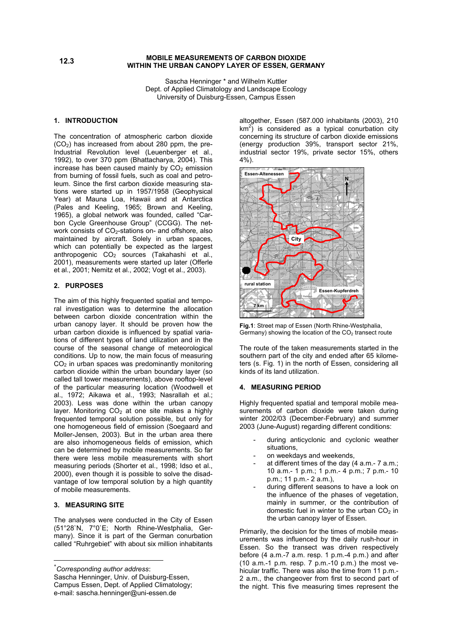## **MOBILE MEASUREMENTS OF CARBON DIOXIDE WITHIN THE URBAN CANOPY LAYER OF ESSEN, GERMANY**

Sascha Henninger \* and Wilhelm Kuttler Dept. of Applied Climatology and Landscape Ecology University of Duisburg-Essen, Campus Essen

# **1. INTRODUCTION**

The concentration of atmospheric carbon dioxide (CO2) has increased from about 280 ppm, the pre-Industrial Revolution level (Leuenberger et al., 1992), to over 370 ppm (Bhattacharya, 2004). This increase has been caused mainly by  $CO<sub>2</sub>$  emission from burning of fossil fuels, such as coal and petroleum. Since the first carbon dioxide measuring stations were started up in 1957/1958 (Geophysical Year) at Mauna Loa, Hawaii and at Antarctica (Pales and Keeling, 1965; Brown and Keeling, 1965), a global network was founded, called "Carbon Cycle Greenhouse Group" (CCGG). The network consists of CO<sub>2</sub>-stations on- and offshore, also maintained by aircraft. Solely in urban spaces, which can potentially be expected as the largest anthropogenic  $CO<sub>2</sub>$  sources (Takahashi et al., 2001), measurements were started up later (Offerle et al., 2001; Nemitz et al., 2002; Vogt et al., 2003).

# **2. PURPOSES**

The aim of this highly frequented spatial and temporal investigation was to determine the allocation between carbon dioxide concentration within the urban canopy layer. It should be proven how the urban carbon dioxide is influenced by spatial variations of different types of land utilization and in the course of the seasonal change of meteorological conditions. Up to now, the main focus of measuring  $CO<sub>2</sub>$  in urban spaces was predominantly monitoring carbon dioxide within the urban boundary layer (so called tall tower measurements), above rooftop-level of the particular measuring location (Woodwell et al., 1972; Aikawa et al., 1993; Nasrallah et al.; 2003). Less was done within the urban canopy layer. Monitoring  $CO<sub>2</sub>$  at one site makes a highly frequented temporal solution possible, but only for one homogeneous field of emission (Soegaard and Moller-Jensen, 2003). But in the urban area there are also inhomogeneous fields of emission, which can be determined by mobile measurements. So far there were less mobile measurements with short measuring periods (Shorter et al., 1998; Idso et al., 2000), even though it is possible to solve the disadvantage of low temporal solution by a high quantity of mobile measurements.

## **3. MEASURING SITE**

 $\overline{a}$ 

The analyses were conducted in the City of Essen (51°28`N, 7°0`E; North Rhine-Westphalia, Germany). Since it is part of the German conurbation called "Ruhrgebiet" with about six million inhabitants

<span id="page-0-0"></span>\* *Corresponding author address*:

Sascha Henninger, Univ. of Duisburg-Essen, Campus Essen, Dept. of Applied Climatology; e-mail: sascha.henninger@uni-essen.de

altogether, Essen (587.000 inhabitants (2003), 210  $km^2$ ) is considered as a typical conurbation city concerning its structure of carbon dioxide emissions (energy production 39%, transport sector 21%, industrial sector 19%, private sector 15%, others 4%).



**Fig.1**: Street map of Essen (North Rhine-Westphalia, Germany) showing the location of the  $CO<sub>2</sub>$  transect route

The route of the taken measurements started in the southern part of the city and ended after 65 kilometers (s. Fig. 1) in the north of Essen, considering all kinds of its land utilization.

## **4. MEASURING PERIOD**

Highly frequented spatial and temporal mobile measurements of carbon dioxide were taken during winter 2002/03 (December-February) and summer 2003 (June-August) regarding different conditions:

- during anticyclonic and cyclonic weather situations,
- on weekdays and weekends.
- at different times of the day  $(4 a.m.-7 a.m.:$ 10 a.m.- 1 p.m.; 1 p.m.- 4 p.m.; 7 p.m.- 10 p.m.; 11 p.m.- 2 a.m.),
- during different seasons to have a look on the influence of the phases of vegetation, mainly in summer, or the contribution of domestic fuel in winter to the urban  $CO<sub>2</sub>$  in the urban canopy layer of Essen.

Primarily, the decision for the times of mobile measurements was influenced by the daily rush-hour in Essen. So the transect was driven respectively before (4 a.m.-7 a.m. resp. 1 p.m.-4 p.m.) and after (10 a.m.-1 p.m. resp. 7 p.m.-10 p.m.) the most vehicular traffic. There was also the time from 11 p.m.- 2 a.m., the changeover from first to second part of the night. This five measuring times represent the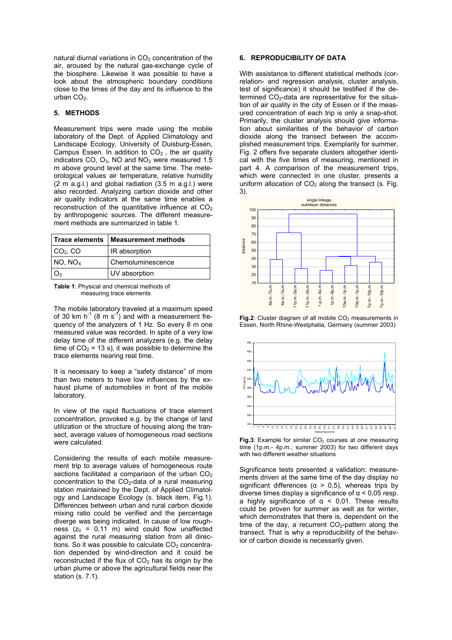natural diurnal variations in CO<sub>2</sub> concentration of the **6. REPRODUCIBILITY OF DATA** air, aroused by the natural gas-exchange cycle of the biosphere. Likewise it was possible to have a look about the atmospheric boundary conditions close to the times of the day and its influence to the urban  $CO<sub>2</sub>$ .

## **5. METHODS**

Measurement trips were made using the mobile laboratory of the Dept. of Applied Climatology and Landscape Ecology, University of Duisburg-Essen,  $C$ ampus Essen. In addition to  $CO<sub>2</sub>$ , the air quality indicators CO,  $O_3$ , NO and  $NO_2$  were measured 1.5 m above ground level at the same time. The meteorological values air temperature, relative humidity (2 m a.g.l.) and global radiation (3.5 m a.g.l.) were also recorded. Analyzing carbon dioxide and other air quality indicators at the same time enables a reconstruction of the quantitative influence at  $CO<sub>2</sub>$ by anthropogenic sources. The different measurement methods are summarized in table 1.

| <b>Trace elements</b>    | <b>Measurement methods</b> |  |
|--------------------------|----------------------------|--|
| $CO2$ , CO               | IR absorption              |  |
| $NO$ , $NO$ <sub>x</sub> | Chemoluminescence          |  |
| O٩                       | UV absorption              |  |

| <b>Table 1:</b> Physical and chemical methods of |  |
|--------------------------------------------------|--|
| measuring trace elements                         |  |

The mobile laboratory traveled at a maximum speed of 30 km  $h^{-1}$  (8 m s<sup>-1</sup>) and with a measurement frequency of the analyzers of 1 Hz. So every 8 m one measured value was recorded. In spite of a very low delay time of the different analyzers (e.g. the delay time of  $CO<sub>2</sub> = 13$  s), it was possible to determine the trace elements nearing real time.

It is necessary to keep a "safety distance" of more than two meters to have low influences by the exhaust plume of automobiles in front of the mobile laboratory.

In view of the rapid fluctuations of trace element concentration, provoked e.g. by the change of land utilization or the structure of housing along the transect, average values of homogeneous road sections were calculated. **Fig.3**: Example for similar CO<sub>2</sub> courses at one measuring were calculated.

Considering the results of each mobile measurement trip to average values of homogeneous route sections facilitated a comparison of the urban CO<sub>2</sub> concentration to the  $CO<sub>2</sub>$ -data of a rural measuring station maintained by the Dept. of Applied Climatology and Landscape Ecology (s. black item, Fig.1). Differences between urban and rural carbon dioxide mixing ratio could be verified and the percentage diverge was being indicated. In cause of low roughness  $(z_0 = 0.11 \text{ m})$  wind could flow unaffected against the rural measuring station from all directions. So it was possible to calculate  $CO<sub>2</sub>$  concentration depended by wind-direction and it could be reconstructed if the flux of  $CO<sub>2</sub>$  has its origin by the urban plume or above the agricultural fields near the station (s. 7.1).

With assistance to different statistical methods (correlation- and regression analysis, cluster analysis, test of significance) it should be testified if the determined  $CO<sub>2</sub>$ -data are representative for the situation of air quality in the city of Essen or if the measured concentration of each trip is only a snap-shot. Primarily, the cluster analysis should give information about similarities of the behavior of carbon dioxide along the transect between the accomplished measurement trips. Exemplarily for summer, Fig. 2 offers five separate clusters altogether identical with the five times of measuring, mentioned in part 4. A comparison of the measurement trips, which were connected in one cluster, presents a uniform allocation of  $CO<sub>2</sub>$  along the transect (s. Fig. 3).



**Fig.2**: Cluster diagram of all mobile CO<sub>2</sub> measurements in Essen, North Rhine-Westphalia, Germany (summer 2003)



time (1p.m.- 4p.m.; summer 2003) for two different days with two different weather situations

Significance tests presented a validation: measurements driven at the same time of the day display no significant differences ( $\alpha$  > 0,5), whereas trips by diverse times display a significance of  $\alpha$  < 0,05 resp. a highly significance of  $\alpha$  < 0,01. These results could be proven for summer as well as for winter, which demonstrates that there is, dependent on the time of the day, a recurrent  $CO<sub>2</sub>$ -pattern along the transect. That is why a reproducibility of the behavior of carbon dioxide is necessarily given.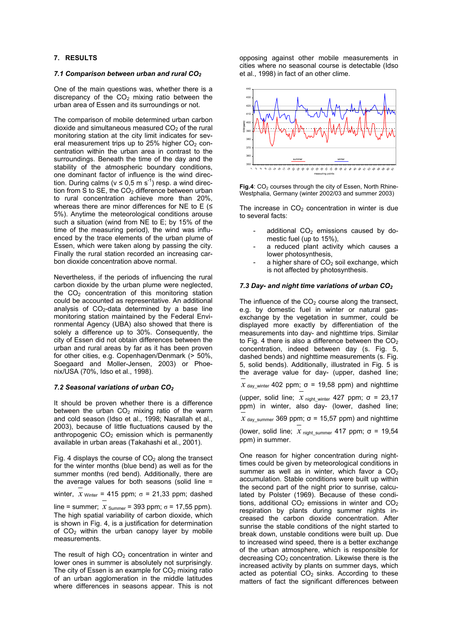## **7. RESULTS**

#### *7.1 Comparison between urban and rural CO2*

One of the main questions was, whether there is a discrepancy of the  $CO<sub>2</sub>$  mixing ratio between the urban area of Essen and its surroundings or not.

The comparison of mobile determined urban carbon dioxide and simultaneous measured  $CO<sub>2</sub>$  of the rural monitoring station at the city limit indicates for several measurement trips up to 25% higher  $CO<sub>2</sub>$  concentration within the urban area in contrast to the surroundings. Beneath the time of the day and the stability of the atmospheric boundary conditions, one dominant factor of influence is the wind direction. During calms ( $v \le 0.5$  m s<sup>-1</sup>) resp. a wind direction from S to SE, the CO<sub>2</sub> difference between urban to rural concentration achieve more than 20%, whereas there are minor differences for NE to E  $($ 5%). Anytime the meteorological conditions arouse such a situation (wind from NE to E; by 15% of the time of the measuring period), the wind was influenced by the trace elements of the urban plume of Essen, which were taken along by passing the city. Finally the rural station recorded an increasing carbon dioxide concentration above normal.

Nevertheless, if the periods of influencing the rural carbon dioxide by the urban plume were neglected, the  $CO<sub>2</sub>$  concentration of this monitoring station could be accounted as representative. An additional analysis of  $CO<sub>2</sub>$ -data determined by a base line monitoring station maintained by the Federal Environmental Agency (UBA) also showed that there is solely a difference up to 30%. Consequently, the city of Essen did not obtain differences between the urban and rural areas by far as it has been proven for other cities, e.g. Copenhagen/Denmark (> 50%, Soegaard and Moller-Jensen, 2003) or Phoenix/USA (70%, Idso et al., 1998).

## *7.2 Seasonal variations of urban CO2*

It should be proven whether there is a difference between the urban  $CO<sub>2</sub>$  mixing ratio of the warm and cold season (Idso et al., 1998; Nasrallah et al., 2003), because of little fluctuations caused by the anthropogenic  $CO<sub>2</sub>$  emission which is permanently available in urban areas (Takahashi et al., 2001).

Fig. 4 displays the course of  $CO<sub>2</sub>$  along the transect for the winter months (blue bend) as well as for the summer months (red bend). Additionally, there are the average values for both seasons (solid line =

winter,  $x_{\text{Winter}}$  = 415 ppm;  $σ$  = 21,33 ppm; dashed

line = summer;  $x_{\text{Summer}}$  = 393 ppm;  $\sigma$  = 17,55 ppm). The high spatial variability of carbon dioxide, which is shown in Fig. 4, is a justification for determination of  $CO<sub>2</sub>$  within the urban canopy layer by mobile measurements.

The result of high  $CO<sub>2</sub>$  concentration in winter and lower ones in summer is absolutely not surprisingly. The city of Essen is an example for  $CO<sub>2</sub>$  mixing ratio of an urban agglomeration in the middle latitudes where differences in seasons appear. This is not opposing against other mobile measurements in cities where no seasonal course is detectable (Idso et al., 1998) in fact of an other clime.



Fig.4: CO<sub>2</sub> courses through the city of Essen, North Rhine-Westphalia, Germany (winter 2002/03 and summer 2003)

The increase in  $CO<sub>2</sub>$  concentration in winter is due to several facts:

- additional  $CO<sub>2</sub>$  emissions caused by domestic fuel (up to 15%),
- a reduced plant activity which causes a lower photosynthesis,
- a higher share of  $CO<sub>2</sub>$  soil exchange, which is not affected by photosynthesis.

## *7.3 Day- and night time variations of urban CO2*

The influence of the  $CO<sub>2</sub>$  course along the transect, e.g. by domestic fuel in winter or natural gasexchange by the vegetation in summer, could be displayed more exactly by differentiation of the measurements into day- and nighttime trips. Similar to Fig. 4 there is also a difference between the  $CO<sub>2</sub>$ concentration, indeed between day (s. Fig. 5, dashed bends) and nighttime measurements (s. Fig. 5, solid bends). Additionally, illustrated in Fig. 5 is the average value for day- (upper, dashed line;  $x_{day\text{ winter}}$  402 ppm;  $\sigma$  = 19,58 ppm) and nighttime (upper, solid line;  $x_{\text{night\_winter}}$  427 ppm;  $\sigma$  = 23,17

ppm) in winter, also day- (lower, dashed line;  $x_{day\_sumer}$  369 ppm;  $\sigma$  = 15,57 ppm) and nighttime

(lower, solid line;  $x$  night summer 417 ppm;  $\sigma$  = 19,54 ppm) in summer.

One reason for higher concentration during nighttimes could be given by meteorological conditions in summer as well as in winter, which favor a  $CO<sub>2</sub>$ accumulation. Stable conditions were built up within the second part of the night prior to sunrise, calculated by Polster (1969). Because of these conditions, additional  $CO<sub>2</sub>$  emissions in winter and  $CO<sub>2</sub>$ respiration by plants during summer nights increased the carbon dioxide concentration. After sunrise the stable conditions of the night started to break down, unstable conditions were built up. Due to increased wind speed, there is a better exchange of the urban atmosphere, which is responsible for decreasing  $CO<sub>2</sub>$  concentration. Likewise there is the increased activity by plants on summer days, which acted as potential  $CO<sub>2</sub>$  sinks. According to these matters of fact the significant differences between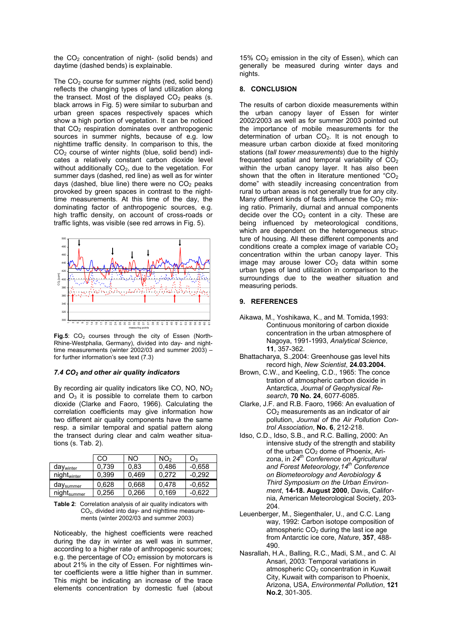the  $CO<sub>2</sub>$  concentration of night- (solid bends) and daytime (dashed bends) is explainable.

The  $CO<sub>2</sub>$  course for summer nights (red, solid bend) reflects the changing types of land utilization along the transect. Most of the displayed  $CO<sub>2</sub>$  peaks (s. black arrows in Fig. 5) were similar to suburban and urban green spaces respectively spaces which show a high portion of vegetation. It can be noticed that  $CO<sub>2</sub>$  respiration dominates over anthropogenic sources in summer nights, because of e.g. low nighttime traffic density. In comparison to this, the CO2 course of winter nights (blue, solid bend) indicates a relatively constant carbon dioxide level without additionally  $CO<sub>2</sub>$ , due to the vegetation. For summer days (dashed, red line) as well as for winter days (dashed, blue line) there were no  $CO<sub>2</sub>$  peaks provoked by green spaces in contrast to the nighttime measurements. At this time of the day, the dominating factor of anthropogenic sources, e.g. high traffic density, on account of cross-roads or traffic lights, was visible (see red arrows in Fig. 5).



Fig.5: CO<sub>2</sub> courses through the city of Essen (North-Rhine-Westphalia, Germany), divided into day- and nighttime measurements (winter 2002/03 and summer 2003) – for further information's see text (7.3)

## *7.4 CO2 and other air quality indicators*

By recording air quality indicators like CO, NO, NO<sub>2</sub> and  $O_3$  it is possible to correlate them to carbon dioxide (Clarke and Faoro, 1966). Calculating the correlation coefficients may give information how two different air quality components have the same resp. a similar temporal and spatial pattern along the transect during clear and calm weather situations (s. Tab. 2).

|                         | <sub>CO</sub> | NO.   | NO <sub>2</sub> | O <sub>3</sub> |
|-------------------------|---------------|-------|-----------------|----------------|
| day <sub>winter</sub>   | 0.739         | 0.83  | 0,486           | $-0.658$       |
| night <sub>winter</sub> | 0,399         | 0,469 | 0,272           | $-0,292$       |
| day <sub>summer</sub>   | 0.628         | 0,668 | 0.478           | $-0.652$       |
| night <sub>summer</sub> | 0,256         | 0,266 | 0,169           | $-0.622$       |

| <b>Table 2:</b> Correlation analysis of air quality indicators with |
|---------------------------------------------------------------------|
| $CO2$ , divided into day- and nighttime measure-                    |
| ments (winter 2002/03 and summer 2003)                              |

Noticeably, the highest coefficients were reached during the day in winter as well was in summer, according to a higher rate of anthropogenic sources; e.g. the percentage of  $CO<sub>2</sub>$  emission by motorcars is about 21% in the city of Essen. For nighttimes winter coefficients were a little higher than in summer. This might be indicating an increase of the trace elements concentration by domestic fuel (about 15%  $CO<sub>2</sub>$  emission in the city of Essen), which can generally be measured during winter days and nights.

## **8. CONCLUSION**

The results of carbon dioxide measurements within the urban canopy layer of Essen for winter 2002/2003 as well as for summer 2003 pointed out the importance of mobile measurements for the determination of urban  $CO<sub>2</sub>$ . It is not enough to measure urban carbon dioxide at fixed monitoring stations (*tall tower measurements*) due to the highly frequented spatial and temporal variability of  $CO<sub>2</sub>$ within the urban canopy layer. It has also been shown that the often in literature mentioned "CO<sub>2</sub> dome" with steadily increasing concentration from rural to urban areas is not generally true for any city. Many different kinds of facts influence the  $CO<sub>2</sub>$  mixing ratio. Primarily, diurnal and annual components decide over the  $CO<sub>2</sub>$  content in a city. These are being influenced by meteorological conditions, which are dependent on the heterogeneous structure of housing. All these different components and conditions create a complex image of variable  $CO<sub>2</sub>$ concentration within the urban canopy layer. This image may arouse lower  $CO<sub>2</sub>$  data within some urban types of land utilization in comparison to the surroundings due to the weather situation and measuring periods.

#### **9. REFERENCES**

- Aikawa, M., Yoshikawa, K., and M. Tomida,1993: Continuous monitoring of carbon dioxide concentration in the urban atmosphere of Nagoya, 1991-1993, *Analytical Science*, **11**, 357-362.
- Bhattacharya, S.,2004: Greenhouse gas level hits record high, *New Scientist*, **24.03.2004.**
- Brown, C.W., and Keeling, C.D., 1965: The conce tration of atmospheric carbon dioxide in Antarctica, *Journal of Geophysical Research*, **70 No. 24**, 6077-6085.
- Clarke, J.F. and R.B. Faoro, 1966: An evaluation of CO2 measurements as an indicator of air pollution, *Journal of the Air Pollution Control Association*, **No. 6**, 212-218.
- Idso, C.D., Idso, S.B., and R.C. Balling, 2000: An intensive study of the strength and stability of the urban CO<sub>2</sub> dome of Phoenix, Arizona, in *24th Conference on Agricultural and Forest Meteorology,14th Conference on Biometeorology and Aerobiology & Third Symposium on the Urban Environment*, **14-18. August 2000**, Davis, California, American Meteorological Society, 203- 204.
- Leuenberger, M., Siegenthaler, U., and C.C. Lang way, 1992: Carbon isotope composition of atmospheric  $CO<sub>2</sub>$  during the last ice age from Antarctic ice core, *Nature*, **357**, 488- 490.
- Nasrallah, H.A., Balling, R.C., Madi, S.M., and C. Al Ansari, 2003: Temporal variations in atmospheric CO<sub>2</sub> concentration in Kuwait City, Kuwait with comparison to Phoenix, Arizona, USA, *Environmental Pollution*, **121 No.2**, 301-305.